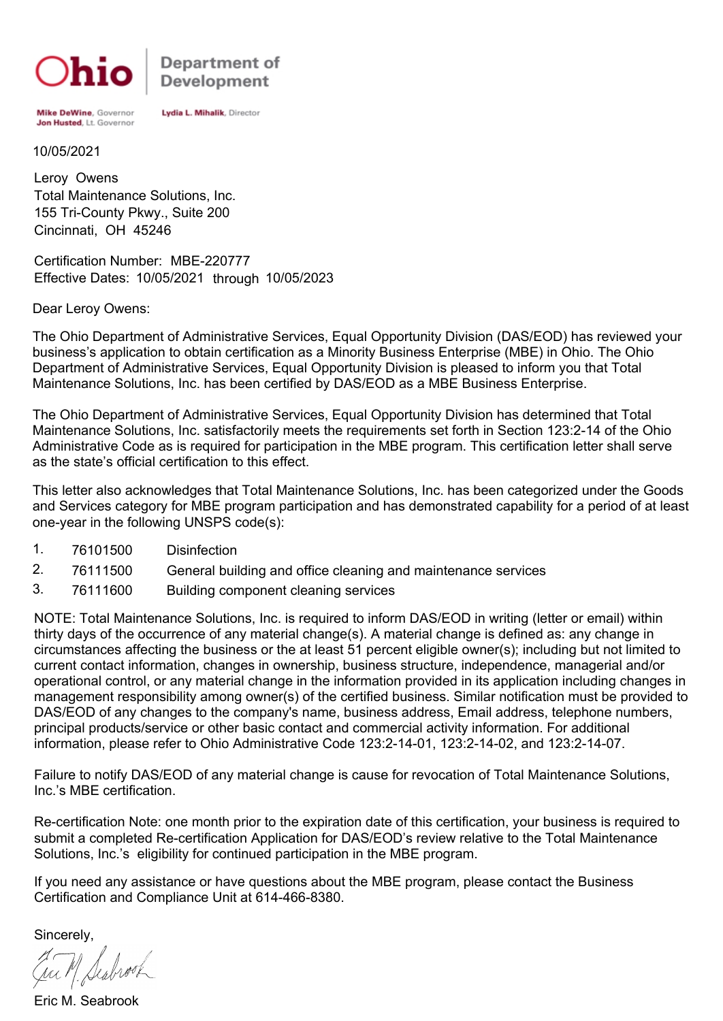

Department of **Development** 

Mike DeWine, Governor Jon Husted, Lt. Governor Lydia L. Mihalik, Director

10/05/2021

Total Maintenance Solutions, Inc. Leroy Owens 155 Tri-County Pkwy., Suite 200 Cincinnati, OH 45246

Certification Number: MBE-220777 Effective Dates: 10/05/2021 through 10/05/2023

Dear Leroy Owens:

The Ohio Department of Administrative Services, Equal Opportunity Division (DAS/EOD) has reviewed your business's application to obtain certification as a Minority Business Enterprise (MBE) in Ohio. The Ohio Department of Administrative Services, Equal Opportunity Division is pleased to inform you that Total Maintenance Solutions, Inc. has been certified by DAS/EOD as a MBE Business Enterprise.

The Ohio Department of Administrative Services, Equal Opportunity Division has determined that Total Maintenance Solutions, Inc. satisfactorily meets the requirements set forth in Section 123:2-14 of the Ohio Administrative Code as is required for participation in the MBE program. This certification letter shall serve as the state's official certification to this effect.

This letter also acknowledges that Total Maintenance Solutions, Inc. has been categorized under the Goods and Services category for MBE program participation and has demonstrated capability for a period of at least one-year in the following UNSPS code(s):

- 1. 76101500 Disinfection
- 2. 76111500 General building and office cleaning and maintenance services
- 3. 76111600 Building component cleaning services

NOTE: Total Maintenance Solutions, Inc. is required to inform DAS/EOD in writing (letter or email) within thirty days of the occurrence of any material change(s). A material change is defined as: any change in circumstances affecting the business or the at least 51 percent eligible owner(s); including but not limited to current contact information, changes in ownership, business structure, independence, managerial and/or operational control, or any material change in the information provided in its application including changes in management responsibility among owner(s) of the certified business. Similar notification must be provided to DAS/EOD of any changes to the company's name, business address, Email address, telephone numbers, principal products/service or other basic contact and commercial activity information. For additional information, please refer to Ohio Administrative Code 123:2-14-01, 123:2-14-02, and 123:2-14-07.

Failure to notify DAS/EOD of any material change is cause for revocation of Total Maintenance Solutions, Inc.'s MBE certification.

Re-certification Note: one month prior to the expiration date of this certification, your business is required to submit a completed Re-certification Application for DAS/EOD's review relative to the Total Maintenance Solutions, Inc.'s eligibility for continued participation in the MBE program.

If you need any assistance or have questions about the MBE program, please contact the Business Certification and Compliance Unit at 614-466-8380.

Sincerely,

Eric M. Seabrook